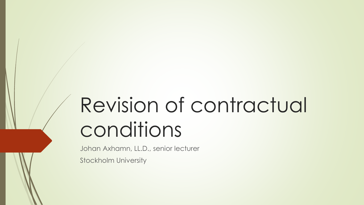# Revision of contractual conditions

Johan Axhamn, LL.D., senior lecturer

Stockholm University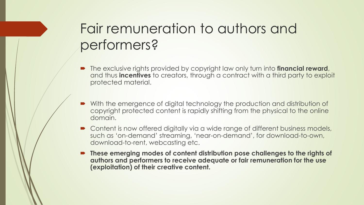# Fair remuneration to authors and performers?

- The exclusive rights provided by copyright law only turn into **financial reward**, and thus **incentives** to creators, through a contract with a third party to exploit protected material.
- With the emergence of digital technology the production and distribution of copyright protected content is rapidly shifting from the physical to the online domain.
- Content is now offered digitally via a wide range of different business models, such as 'on-demand' streaming, 'near-on-demand', for download-to-own, download-to-rent, webcasting etc.
- **These emerging modes of content distribution pose challenges to the rights of authors and performers to receive adequate or fair remuneration for the use (exploitation) of their creative content.**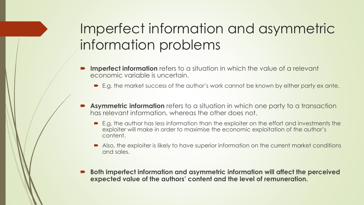# Imperfect information and asymmetric information problems

- **Imperfect information** refers to a situation in which the value of a relevant economic variable is uncertain.
	- E.g. the market success of the author's work cannot be known by either party ex ante.
- **Asymmetric information** refers to a situation in which one party to a transaction has relevant information, whereas the other does not.
	- E.g. the author has less information than the exploiter on the effort and investments the exploiter will make in order to maximise the economic exploitation of the author's content.
	- Also, the exploiter is likely to have superior information on the current market conditions and sales.
- **Both imperfect information and asymmetric information will affect the perceived expected value of the authors' content and the level of remuneration.**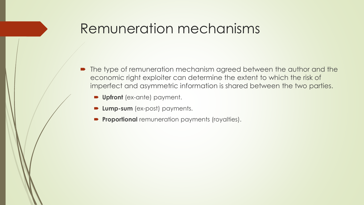### Remuneration mechanisms

- The type of remuneration mechanism agreed between the author and the economic right exploiter can determine the extent to which the risk of imperfect and asymmetric information is shared between the two parties.
	- **Upfront** (ex-ante) payment.
	- **Lump-sum** (ex-post) payments.
	- **Proportional** remuneration payments (royalties).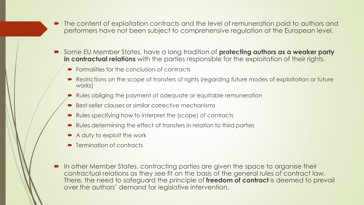- The content of exploitation contracts and the level of remuneration paid to authors and performers have not been subject to comprehensive regulation at the European level.
- Some EU Member States, have a long tradition of **protecting authors as a weaker party in contractual relations** with the parties responsible for the exploitation of their rights.
	- $\blacktriangleright$  Formalities for the conclusion of contracts
	- Restrictions on the scope of transfers of rights (regarding future modes of exploitation or future works)
	- Rules obliging the payment of adequate or equitable remuneration
	- Best-seller clauses or similar corrective mechanisms
	- Rules specifying how to interpret the (scope) of contracts
	- Rules determining the effect of transfers in relation to third parties
	- A duty to exploit the work
	- **F** Termination of contracts
- **In other Member States, contracting parties are given the space to organise their** contractual relations as they see fit on the basis of the general rules of contract law. There, the need to safeguard the principle of **freedom of contract** is deemed to prevail over the authors' demand for legislative intervention.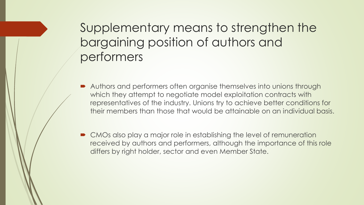Supplementary means to strengthen the bargaining position of authors and performers

- Authors and performers often organise themselves into unions through which they attempt to negotiate model exploitation contracts with representatives of the industry. Unions try to achieve better conditions for their members than those that would be attainable on an individual basis.
- CMOs also play a major role in establishing the level of remuneration received by authors and performers, although the importance of this role differs by right holder, sector and even Member State.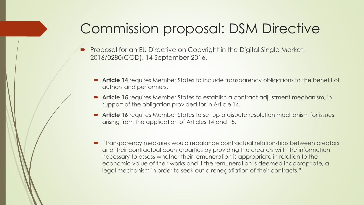## Commission proposal: DSM Directive

- Proposal for an EU Directive on Copyright in the Digital Single Market, 2016/0280(COD), 14 September 2016.
	- **Article 14** requires Member States to include transparency obligations to the benefit of authors and performers.
	- **Article 15** requires Member States to establish a contract adjustment mechanism, in support of the obligation provided for in Article 14.
	- **Article 16** requires Member States to set up a dispute resolution mechanism for issues arising from the application of Articles 14 and 15.
	- "Transparency measures would rebalance contractual relationships between creators and their contractual counterparties by providing the creators with the information necessary to assess whether their remuneration is appropriate in relation to the economic value of their works and if the remuneration is deemed inappropriate, a legal mechanism in order to seek out a renegotiation of their contracts."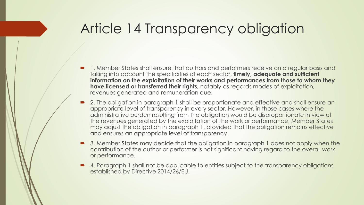### Article 14 Transparency obligation

- 1. Member States shall ensure that authors and performers receive on a regular basis and taking into account the specificities of each sector, **timely, adequate and sufficient information on the exploitation of their works and performances from those to whom they have licensed or transferred their rights**, notably as regards modes of exploitation, revenues generated and remuneration due.
- 2. The obligation in paragraph 1 shall be proportionate and effective and shall ensure an appropriate level of transparency in every sector. However, in those cases where the administrative burden resulting from the obligation would be disproportionate in view of the revenues generated by the exploitation of the work or performance, Member States may adjust the obligation in paragraph 1, provided that the obligation remains effective and ensures an appropriate level of transparency.
- 3. Member States may decide that the obligation in paragraph 1 does not apply when the contribution of the author or performer is not significant having regard to the overall work or performance.
- 4. Paragraph 1 shall not be applicable to entities subject to the transparency obligations established by Directive 2014/26/EU.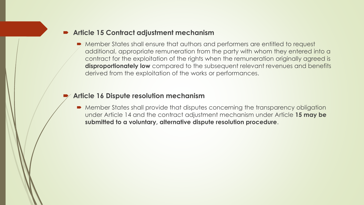#### **Article 15 Contract adjustment mechanism**

 Member States shall ensure that authors and performers are entitled to request additional, appropriate remuneration from the party with whom they entered into a contract for the exploitation of the rights when the remuneration originally agreed is **disproportionately low** compared to the subsequent relevant revenues and benefits derived from the exploitation of the works or performances.

#### **Article 16 Dispute resolution mechanism**

 Member States shall provide that disputes concerning the transparency obligation under Article 14 and the contract adjustment mechanism under Article **15 may be submitted to a voluntary, alternative dispute resolution procedure**.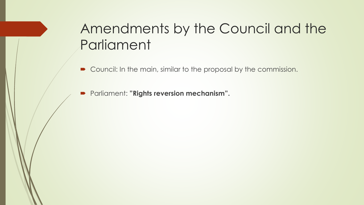# Amendments by the Council and the Parliament

- Council: In the main, similar to the proposal by the commission.
- Parliament: **"Rights reversion mechanism".**